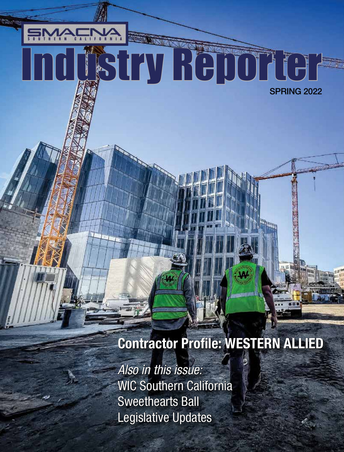## SPRING 2022 Industry Reporter

### Contractor Profile: WESTERN ALLIED

*Also in this issue:* WIC Southern California Sweethearts Ball Legislative Updates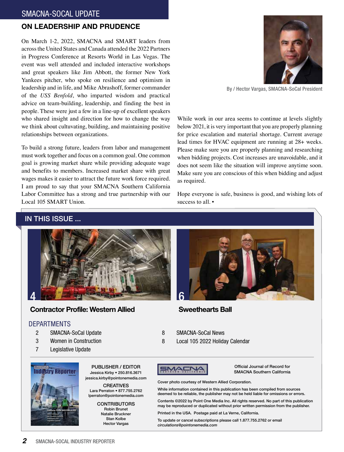#### ON LEADERSHIP AND PRUDENCE

On March 1-2, 2022, SMACNA and SMART leaders from across the United States and Canada attended the 2022 Partners in Progress Conference at Resorts World in Las Vegas. The event was well attended and included interactive workshops and great speakers like Jim Abbott, the former New York Yankees pitcher, who spoke on resilience and optimism in leadership and in life, and Mike Abrashoff, former commander of the *USS Benfold*, who imparted wisdom and practical advice on team-building, leadership, and finding the best in people. These were just a few in a line-up of excellent speakers who shared insight and direction for how to change the way we think about cultuvating, building, and maintaining positive relationships between organizations.

To build a strong future, leaders from labor and management must work together and focus on a common goal. One common goal is growing market share while providing adequate wage and benefits to members. Increased market share with great wages makes it easier to attract the future work force required. I am proud to say that your SMACNA Southern California Labor Committee has a strong and true partnership with our Local 105 SMART Union.

#### IN THIS ISSUE ...



#### Contractor Profile: Western Allied

#### DEPARTMENTS

- 2 SMACNA-SoCal Update
- 3 Women in Construction
- 7 Legislative Update



PUBLISHER / EDITOR Jessica Kirby • 250.816.3671 jessica.kirby@pointonemedia.com

CREATIVES Lara Perraton • 877.755.2762 lperraton@pointonemedia.com

> **CONTRIBUTORS** Robin Brunet Natalie Bruckner Stan Kolbe

Hector Vargas



By / Hector Vargas, SMACNA-SoCal President

While work in our area seems to continue at levels slightly below 2021, it is very important that you are properly planning for price escalation and material shortage. Current average lead times for HVAC equipment are running at 28+ weeks. Please make sure you are properly planning and researching when bidding projects. Cost increases are unavoidable, and it does not seem like the situation will improve anytime soon. Make sure you are conscious of this when bidding and adjust as required.

Hope everyone is safe, business is good, and wishing lots of success to all.  $\blacksquare$ 



#### Sweethearts Ball

- 8 SMACNA-SoCal News
- 8 Local 105 2022 Holiday Calendar



Official Journal of Record for SMACNA Southern California

Cover photo courtesy of Western Allied Corporation.

While information contained in this publication has been compiled from sources deemed to be reliable, the publisher may not be held liable for omissions or errors.

Contents ©2022 by Point One Media Inc. All rights reserved. No part of this publication may be reproduced or duplicated without prior written permission from the publisher.

Printed in the USA. Postage paid at La Verne, California.

To update or cancel subscriptions please call 1.877.755.2762 or email *circulations@pointonemedia.com*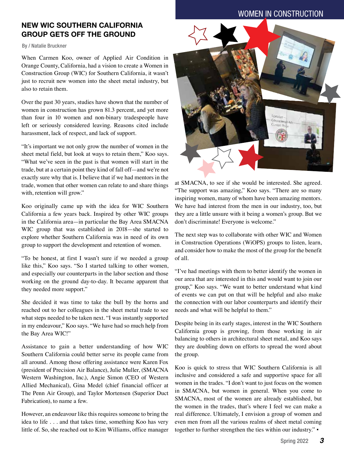#### WOMEN IN CONSTRUCTION

#### NEW WIC SOUTHERN CALIFORNIA GROUP GETS OFF THE GROUND

#### By / Natalie Bruckner

When Carmen Koo, owner of Applied Air Condition in Orange County, California, had a vision to create a Women in Construction Group (WIC) for Southern California, it wasn't just to recruit new women into the sheet metal industry, but also to retain them.

Over the past 30 years, studies have shown that the number of women in construction has grown 81.3 percent, and yet more than four in 10 women and non-binary tradespeople have left or seriously considered leaving. Reasons cited include harassment, lack of respect, and lack of support.

"It's important we not only grow the number of women in the sheet metal field, but look at ways to retain them," Koo says. "What we've seen in the past is that women will start in the trade, but at a certain point they kind of fall off—and we're not exactly sure why that is. I believe that if we had mentors in the trade, women that other women can relate to and share things with, retention will grow."

Koo originally came up with the idea for WIC Southern California a few years back. Inspired by other WIC groups in the California area—in particular the Bay Area SMACNA WIC group that was established in 2018—she started to explore whether Southern California was in need of its own group to support the development and retention of women.

"To be honest, at first I wasn't sure if we needed a group like this," Koo says. "So I started talking to other women, and especially our counterparts in the labor section and those working on the ground day-to-day. It became apparent that they needed more support."

She decided it was time to take the bull by the horns and reached out to her colleagues in the sheet metal trade to see what steps needed to be taken next. "I was instantly supported in my endeavour," Koo says. "We have had so much help from the Bay Area WIC!"

Assistance to gain a better understanding of how WIC Southern California could better serve its people came from all around. Among those offering assistance were Karen Fox (president of Precision Air Balance), Julie Muller, (SMACNA Western Washington, Inc.), Angie Simon (CEO of Western Allied Mechanical), Gina Medel (chief financial officer at The Penn Air Group), and Taylor Mortensen (Superior Duct Fabrication), to name a few.

However, an endeavour like this requires someone to bring the idea to life . . . and that takes time, something Koo has very little of. So, she reached out to Kim Williams, office manager



at SMACNA, to see if she would be interested. She agreed. "The support was amazing," Koo says. "There are so many inspiring women, many of whom have been amazing mentors. We have had interest from the men in our industry, too, but they are a little unsure with it being a women's group. But we don't discriminate! Everyone is welcome."

The next step was to collaborate with other WIC and Women in Construction Operations (WiOPS) groups to listen, learn, and consider how to make the most of the group for the benefit of all.

"I've had meetings with them to better identify the women in our area that are interested in this and would want to join our group," Koo says. "We want to better understand what kind of events we can put on that will be helpful and also make the connection with our labor counterparts and identify their needs and what will be helpful to them."

Despite being in its early stages, interest in the WIC Southern California group is growing, from those working in air balancing to others in architectural sheet metal, and Koo says they are doubling down on efforts to spread the word about the group.

Koo is quick to stress that WIC Southern California is all inclusive and considered a safe and supportive space for all women in the trades. "I don't want to just focus on the women in SMACNA, but women in general. When you come to SMACNA, most of the women are already established, but the women in the trades, that's where I feel we can make a real difference. Ultimately, I envision a group of women and even men from all the various realms of sheet metal coming together to further strengthen the ties within our industry." ▪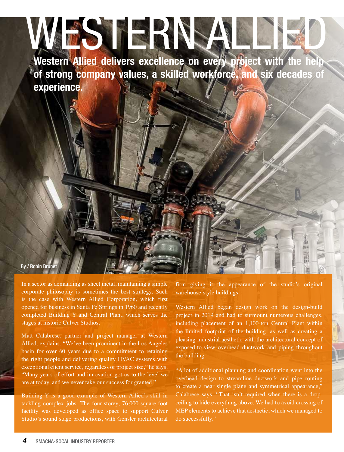# WESTERNSA

Western Allied delivers excellence on every project with the help of strong company values, a skilled workforce, and six decades of experience.

#### By / Robin Brun

In a sector as demanding as sheet metal, maintaining a simple corporate philosophy is sometimes the best strategy. Such is the case with Western Allied Corporation, which first opened for business in Santa Fe Springs in 1960 and recently completed Building Y and Central Plant, which serves the stages at historic Culver Studios.

Matt Calabrese, partner and project manager at Western Allied, explains. "We've been prominent in the Los Angeles basin for over 60 years due to a commitment to retaining the right people and delivering quality HVAC systems with exceptional client service, regardless of project size," he says. "Many years of effort and innovation got us to the level we are at today, and we never take our success for granted."

Building Y is a good example of Western Allied's skill in tackling complex jobs. The four-storey, 76,000-square-foot facility was developed as office space to support Culver Studio's sound stage productions, with Gensler architectural firm giving it the appearance of the studio's original warehouse-style buildings.

Western Allied began design work on the design-build project in 2019 and had to surmount numerous challenges, including placement of an 1,100-ton Central Plant within the limited footprint of the building, as well as creating a pleasing industrial aesthetic with the architectural concept of exposed-to-view overhead ductwork and piping throughout the building.

"A lot of additional planning and coordination went into the overhead design to streamline ductwork and pipe routing to create a near single plane and symmetrical appearance," Calabrese says. "That isn't required when there is a dropceiling to hide everything above. We had to avoid crossing of MEP elements to achieve that aesthetic, which we managed to do successfully."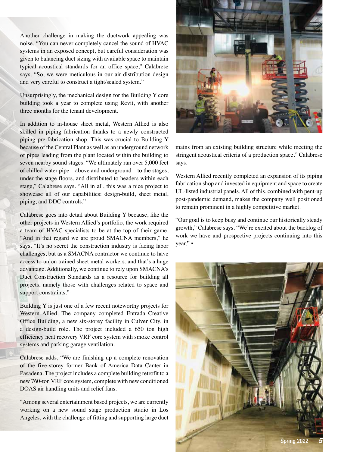Another challenge in making the ductwork appealing was noise. "You can never completely cancel the sound of HVAC systems in an exposed concept, but careful consideration was given to balancing duct sizing with available space to maintain typical acoustical standards for an office space," Calabrese says. "So, we were meticulous in our air distribution design and very careful to construct a tight/sealed system."

Unsurprisingly, the mechanical design for the Building Y core building took a year to complete using Revit, with another three months for the tenant development.

In addition to in-house sheet metal, Western Allied is also skilled in piping fabrication thanks to a newly constructed piping pre-fabrication shop. This was crucial to Building Y because of the Central Plant as well as an underground network of pipes leading from the plant located within the building to seven nearby sound stages. "We ultimately ran over 5,000 feet of chilled water pipe—above and underground—to the stages, under the stage floors, and distributed to headers within each stage," Calabrese says. "All in all, this was a nice project to showcase all of our capabilities: design-build, sheet metal, piping, and DDC controls."

Calabrese goes into detail about Building Y because, like the other projects in Western Allied's portfolio, the work required a team of HVAC specialists to be at the top of their game. "And in that regard we are proud SMACNA members," he says. "It's no secret the construction industry is facing labor challenges, but as a SMACNA contractor we continue to have access to union trained sheet metal workers, and that's a huge advantage. Additionally, we continue to rely upon SMACNA's Duct Construction Standards as a resource for building all projects, namely those with challenges related to space and support constraints."

Building Y is just one of a few recent noteworthy projects for Western Allied. The company completed Entrada Creative Office Building, a new six-storey facility in Culver City, in a design-build role. The project included a 650 ton high efficiency heat recovery VRF core system with smoke control systems and parking garage ventilation.

Calabrese adds, "We are finishing up a complete renovation of the five-storey former Bank of America Data Canter in Pasadena. The project includes a complete building retrofit to a new 760-ton VRF core system, complete with new conditioned DOAS air handling units and relief fans.

"Among several entertainment based projects, we are currently working on a new sound stage production studio in Los Angeles, with the challenge of fitting and supporting large duct



mains from an existing building structure while meeting the stringent acoustical criteria of a production space," Calabrese says.

Western Allied recently completed an expansion of its piping fabrication shop and invested in equipment and space to create UL-listed industrial panels. All of this, combined with pent-up post-pandemic demand, makes the company well positioned to remain prominent in a highly competitive market.

"Our goal is to keep busy and continue our historically steady growth," Calabrese says. "We're excited about the backlog of work we have and prospective projects continuing into this year."  $\blacksquare$ 

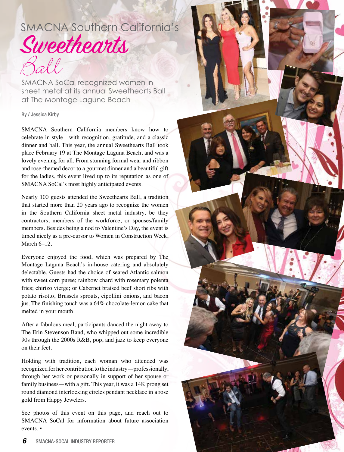## SMACNA Southern California's **Sweethearts** Ball

SMACNA SoCal recognized women in sheet metal at its annual Sweethearts Ball at The Montage Laguna Beach

#### By / Jessica Kirby

SMACNA Southern California members know how to celebrate in style—with recognition, gratitude, and a classic dinner and ball. This year, the annual Sweethearts Ball took place February 19 at The Montage Laguna Beach, and was a lovely evening for all. From stunning formal wear and ribbon and rose-themed decor to a gourmet dinner and a beautiful gift for the ladies, this event lived up to its reputation as one of SMACNA SoCal's most highly anticipated events.

Nearly 100 guests attended the Sweethearts Ball, a tradition that started more than 20 years ago to recognize the women in the Southern California sheet metal industry, be they contractors, members of the workforce, or spouses/family members. Besides being a nod to Valentine's Day, the event is timed nicely as a pre-cursor to Women in Construction Week, March 6–12.

Everyone enjoyed the food, which was prepared by The Montage Laguna Beach's in-house catering and absolutely delectable. Guests had the choice of seared Atlantic salmon with sweet corn puree; rainbow chard with rosemary polenta fries; chirizo vierge; or Cabernet braised beef short ribs with potato risotto, Brussels sprouts, cipollini onions, and bacon jus. The finishing touch was a 64% chocolate-lemon cake that melted in your mouth.

After a fabulous meal, participants danced the night away to The Erin Stevenson Band, who whipped out some incredible 90s through the 2000s R&B, pop, and jazz to keep everyone on their feet.

Holding with tradition, each woman who attended was recognized for her contribution to the industry—professionally, through her work or personally in support of her spouse or family business—with a gift. This year, it was a 14K prong set round diamond interlocking circles pendant necklace in a rose gold from Happy Jewelers.

See photos of this event on this page, and reach out to SMACNA SoCal for information about future association events. ▪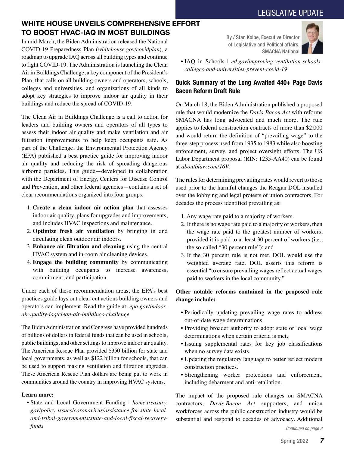#### LEGISLATIVE UPDATE

#### WHITE HOUSE UNVEILS COMPREHENSIVE EFFORT TO BOOST HVAC-IAQ IN MOST BUILDINGS

In mid-March, the Biden Administration released the National COVID-19 Preparedness Plan (*whitehouse.gov/covidplan*), a roadmap to upgrade IAQ across all building types and continue to fight COVID-19. The Administration is launching the Clean Air in Buildings Challenge, a key component of the President's Plan, that calls on all building owners and operators, schools, colleges and universities, and organizations of all kinds to adopt key strategies to improve indoor air quality in their buildings and reduce the spread of COVID-19.

The Clean Air in Buildings Challenge is a call to action for leaders and building owners and operators of all types to assess their indoor air quality and make ventilation and air filtration improvements to help keep occupants safe. As part of the Challenge, the Environmental Protection Agency (EPA) published a best practice guide for improving indoor air quality and reducing the risk of spreading dangerous airborne particles. This guide—developed in collaboration with the Department of Energy, Centers for Disease Control and Prevention, and other federal agencies—contains a set of clear recommendations organized into four groups:

- 1. **Create a clean indoor air action plan** that assesses indoor air quality, plans for upgrades and improvements, and includes HVAC inspections and maintenance.
- 2. **Optimize fresh air ventilation** by bringing in and circulating clean outdoor air indoors.
- 3. **Enhance air filtration and cleaning** using the central HVAC system and in-room air cleaning devices.
- 4. **Engage the building community** by communicating with building occupants to increase awareness, commitment, and participation.

Under each of these recommendation areas, the EPA's best practices guide lays out clear-cut actions building owners and operators can implement. Read the guide at: *epa.gov/indoorair-quality-iaq/clean-air-buildings-challenge*

The Biden Administration and Congress have provided hundreds of billions of dollars in federal funds that can be used in schools, public buildings, and other settings to improve indoor air quality. The American Rescue Plan provided \$350 billion for state and local governments, as well as \$122 billion for schools, that can be used to support making ventilation and filtration upgrades. These American Rescue Plan dollars are being put to work in communities around the country in improving HVAC systems.

#### **Learn more:**

• State and Local Government Funding | *home.treasury. gov/policy-issues/coronavirus/assistance-for-state-localand-tribal-governments/state-and-local-fiscal-recoveryfunds*

By / Stan Kolbe, Executive Director of Legislative and Political affairs, SMACNA National



• IAQ in Schools | *ed.gov/improving-ventilation-schoolscolleges-and-universities-prevent-covid-19*

#### Quick Summary of the Long Awaited 440+ Page Davis Bacon Reform Draft Rule

On March 18, the Biden Administration published a proposed rule that would modernize the *Davis-Bacon Act* with reforms SMACNA has long advocated and much more. The rule applies to federal construction contracts of more than \$2,000 and would return the definition of "prevailing wage" to the three-step process used from 1935 to 1983 while also boosting enforcement, survey, and project oversight efforts. The US Labor Department proposal (RIN: 1235-AA40) can be found at *aboutblaw.com/16V*.

The rules for determining prevailing rates would revert to those used prior to the harmful changes the Reagan DOL installed over the lobbying and legal protests of union contractors. For decades the process identified prevailing as:

- 1. Any wage rate paid to a majority of workers.
- 2. If there is no wage rate paid to a majority of workers, then the wage rate paid to the greatest number of workers, provided it is paid to at least 30 percent of workers (i.e., the so-called "30 percent rule"); and
- 3. If the 30 percent rule is not met, DOL would use the weighted average rate. DOL asserts this reform is essential "to ensure prevailing wages reflect actual wages paid to workers in the local community."

#### **Other notable reforms contained in the proposed rule change include:**

- Periodically updating prevailing wage rates to address out-of-date wage determinations.
- Providing broader authority to adopt state or local wage determinations when certain criteria is met.
- Issuing supplemental rates for key job classifications when no survey data exists.
- Updating the regulatory language to better reflect modern construction practices.
- Strengthening worker protections and enforcement, including debarment and anti-retaliation.

The impact of the proposed rule changes on SMACNA contractors, *Davis-Bacon Act* supporters, and union workforces across the public construction industry would be substantial and respond to decades of advocacy. Additional